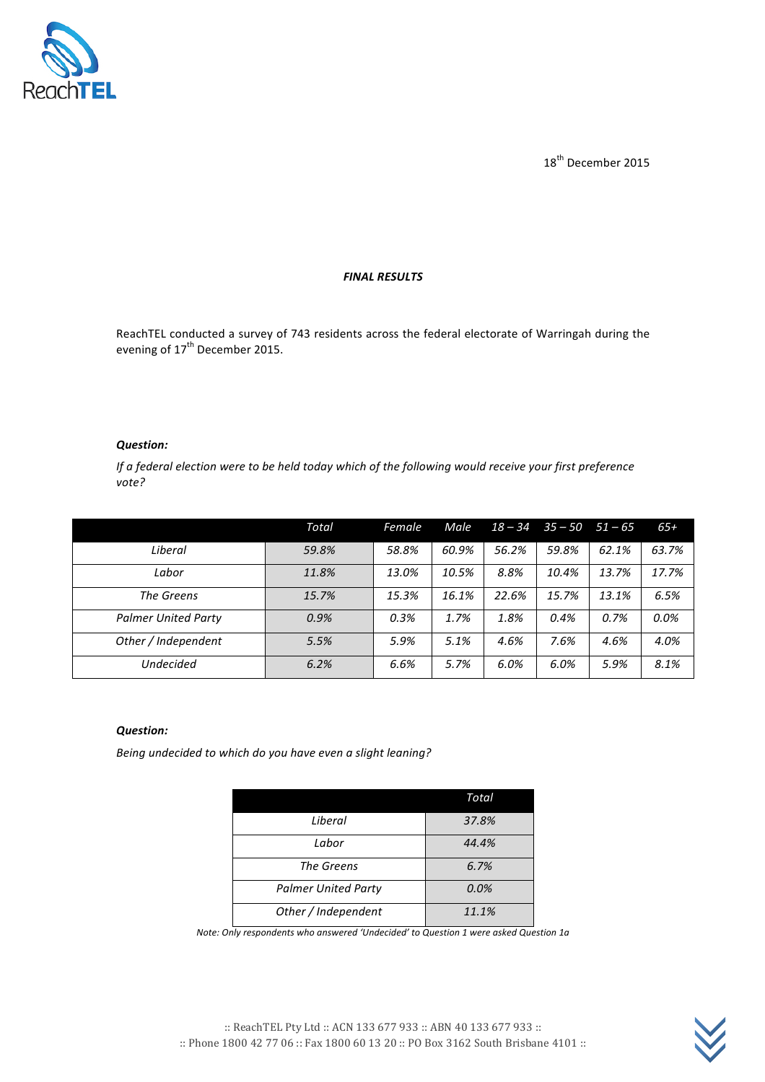

18<sup>th</sup> December 2015

#### *FINAL RESULTS*

ReachTEL conducted a survey of 743 residents across the federal electorate of Warringah during the evening of  $17<sup>th</sup>$  December 2015.

#### *Question:*

*If a federal election were to be held today which of the following would receive your first preference vote?*

|                            | Total | Female | Male  | $18 - 34$ |       | $35 - 50$ $51 - 65$ | $65+$ |
|----------------------------|-------|--------|-------|-----------|-------|---------------------|-------|
| Liberal                    | 59.8% | 58.8%  | 60.9% | 56.2%     | 59.8% | 62.1%               | 63.7% |
| Labor                      | 11.8% | 13.0%  | 10.5% | 8.8%      | 10.4% | 13.7%               | 17.7% |
| The Greens                 | 15.7% | 15.3%  | 16.1% | 22.6%     | 15.7% | 13.1%               | 6.5%  |
| <b>Palmer United Party</b> | 0.9%  | 0.3%   | 1.7%  | 1.8%      | 0.4%  | 0.7%                | 0.0%  |
| Other / Independent        | 5.5%  | 5.9%   | 5.1%  | 4.6%      | 7.6%  | 4.6%                | 4.0%  |
| Undecided                  | 6.2%  | 6.6%   | 5.7%  | 6.0%      | 6.0%  | 5.9%                | 8.1%  |

## *Question:*

Being undecided to which do you have even a slight leaning?

|                            | Total |
|----------------------------|-------|
| Liberal                    | 37.8% |
| Labor                      | 44.4% |
| The Greens                 | 6.7%  |
| <b>Palmer United Party</b> | 0.0%  |
| Other / Independent        | 11.1% |

*Note:* Only respondents who answered 'Undecided' to Question 1 were asked Question 1a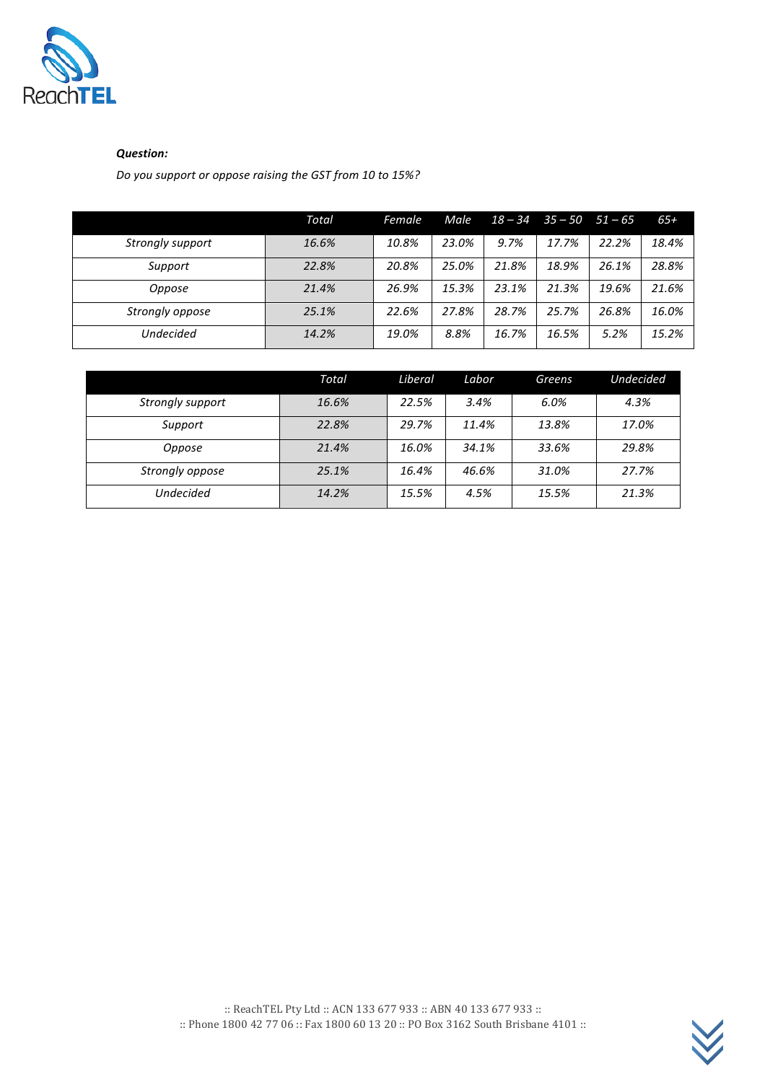

## *Question:*

*Do you support or oppose raising the GST from 10 to 15%?* 

|                  | Total | Female | Male  | $18 - 34$ | $35 - 50$ | $51 - 65$ | $65+$ |
|------------------|-------|--------|-------|-----------|-----------|-----------|-------|
| Strongly support | 16.6% | 10.8%  | 23.0% | 9.7%      | 17.7%     | 22.2%     | 18.4% |
| Support          | 22.8% | 20.8%  | 25.0% | 21.8%     | 18.9%     | 26.1%     | 28.8% |
| Oppose           | 21.4% | 26.9%  | 15.3% | 23.1%     | 21.3%     | 19.6%     | 21.6% |
| Strongly oppose  | 25.1% | 22.6%  | 27.8% | 28.7%     | 25.7%     | 26.8%     | 16.0% |
| <b>Undecided</b> | 14.2% | 19.0%  | 8.8%  | 16.7%     | 16.5%     | 5.2%      | 15.2% |

|                  | Total | Liberal | Labor | Greens | <b>Undecided</b> |
|------------------|-------|---------|-------|--------|------------------|
| Strongly support | 16.6% | 22.5%   | 3.4%  | 6.0%   | 4.3%             |
| Support          | 22.8% | 29.7%   | 11.4% | 13.8%  | 17.0%            |
| Oppose           | 21.4% | 16.0%   | 34.1% | 33.6%  | 29.8%            |
| Strongly oppose  | 25.1% | 16.4%   | 46.6% | 31.0%  | 27.7%            |
| <b>Undecided</b> | 14.2% | 15.5%   | 4.5%  | 15.5%  | 21.3%            |

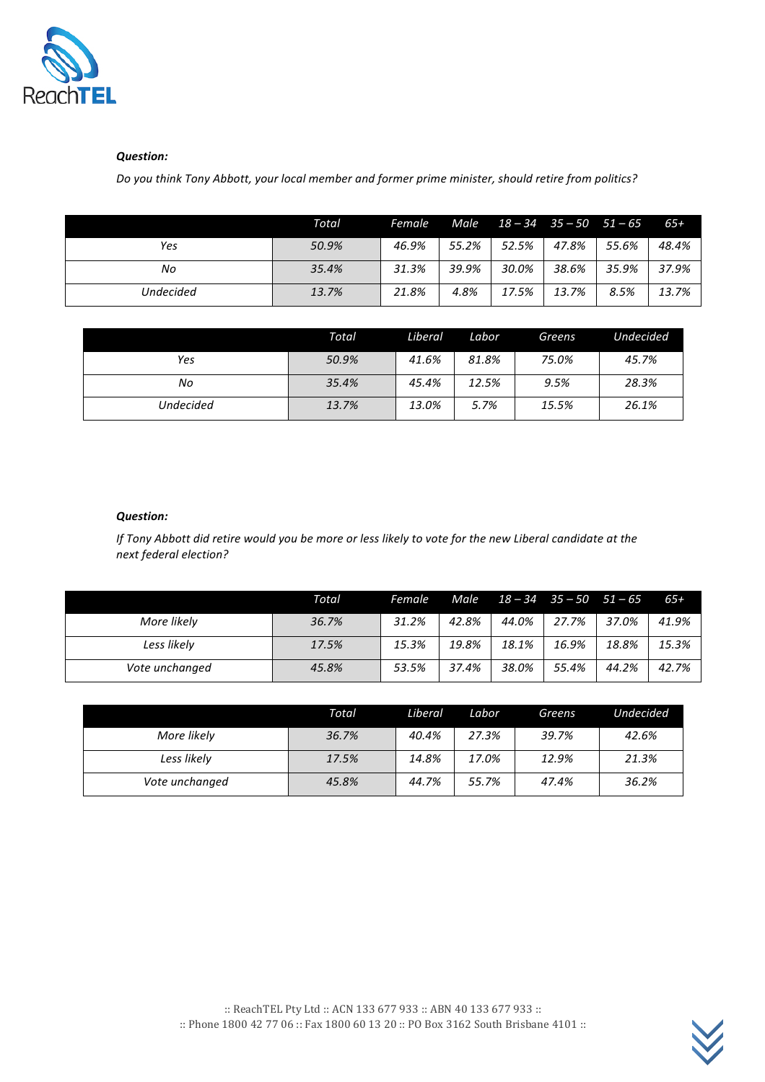

### *Question:*

*Do you think Tony Abbott, your local member and former prime minister, should retire from politics?* 

|                  | Total | Female | Male  | $18 - 34$ $35 - 50$ $51 - 65$ |       |       | $65+$ |
|------------------|-------|--------|-------|-------------------------------|-------|-------|-------|
| Yes              | 50.9% | 46.9%  | 55.2% | 52.5%                         | 47.8% | 55.6% | 48.4% |
| No               | 35.4% | 31.3%  | 39.9% | 30.0%                         | 38.6% | 35.9% | 37.9% |
| <b>Undecided</b> | 13.7% | 21.8%  | 4.8%  | 17.5%                         | 13.7% | 8.5%  | 13.7% |

|                  | Total | Liberal | Labor | Greens | <b>Undecided</b> |
|------------------|-------|---------|-------|--------|------------------|
| Yes              | 50.9% | 41.6%   | 81.8% | 75.0%  | 45.7%            |
| No               | 35.4% | 45.4%   | 12.5% | 9.5%   | 28.3%            |
| <b>Undecided</b> | 13.7% | 13.0%   | 5.7%  | 15.5%  | 26.1%            |

# *Question:*

*If* Tony Abbott did retire would you be more or less likely to vote for the new Liberal candidate at the *next federal election?*

|                | Total | Female | Male  | $18 - 34$ $35 - 50$ $51 - 65$ |       |       | $65+$ |
|----------------|-------|--------|-------|-------------------------------|-------|-------|-------|
| More likely    | 36.7% | 31.2%  | 42.8% | 44.0%                         | 27.7% | 37.0% | 41.9% |
| Less likely    | 17.5% | 15.3%  | 19.8% | 18.1%                         | 16.9% | 18.8% | 15.3% |
| Vote unchanged | 45.8% | 53.5%  | 37.4% | 38.0%                         | 55.4% | 44.2% | 42.7% |

|                | Total | Liberal | Labor | Greens | <b>Undecided</b> |
|----------------|-------|---------|-------|--------|------------------|
| More likely    | 36.7% | 40.4%   | 27.3% | 39.7%  | 42.6%            |
| Less likely    | 17.5% | 14.8%   | 17.0% | 12.9%  | 21.3%            |
| Vote unchanged | 45.8% | 44.7%   | 55.7% | 47.4%  | 36.2%            |